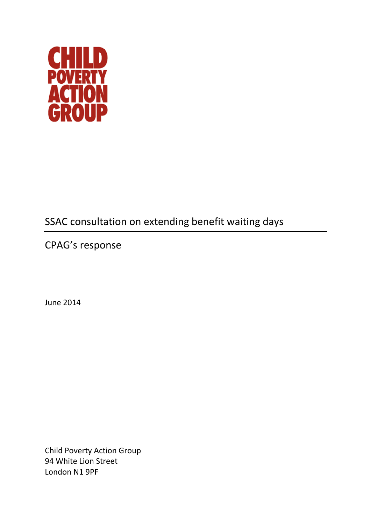

## SSAC consultation on extending benefit waiting days

CPAG's response

June 2014

Child Poverty Action Group 94 White Lion Street London N1 9PF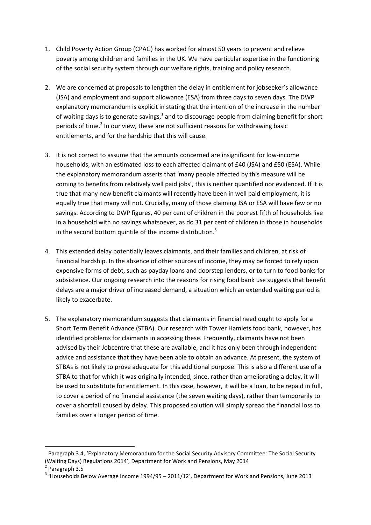- 1. Child Poverty Action Group (CPAG) has worked for almost 50 years to prevent and relieve poverty among children and families in the UK. We have particular expertise in the functioning of the social security system through our welfare rights, training and policy research.
- 2. We are concerned at proposals to lengthen the delay in entitlement for jobseeker's allowance (JSA) and employment and support allowance (ESA) from three days to seven days. The DWP explanatory memorandum is explicit in stating that the intention of the increase in the number of waiting days is to generate savings, $<sup>1</sup>$  and to discourage people from claiming benefit for short</sup> periods of time.<sup>2</sup> In our view, these are not sufficient reasons for withdrawing basic entitlements, and for the hardship that this will cause.
- 3. It is not correct to assume that the amounts concerned are insignificant for low-income households, with an estimated loss to each affected claimant of £40 (JSA) and £50 (ESA). While the explanatory memorandum asserts that 'many people affected by this measure will be coming to benefits from relatively well paid jobs', this is neither quantified nor evidenced. If it is true that many new benefit claimants will recently have been in well paid employment, it is equally true that many will not. Crucially, many of those claiming JSA or ESA will have few or no savings. According to DWP figures, 40 per cent of children in the poorest fifth of households live in a household with no savings whatsoever, as do 31 per cent of children in those in households in the second bottom quintile of the income distribution.<sup>3</sup>
- 4. This extended delay potentially leaves claimants, and their families and children, at risk of financial hardship. In the absence of other sources of income, they may be forced to rely upon expensive forms of debt, such as payday loans and doorstep lenders, or to turn to food banks for subsistence. Our ongoing research into the reasons for rising food bank use suggests that benefit delays are a major driver of increased demand, a situation which an extended waiting period is likely to exacerbate.
- 5. The explanatory memorandum suggests that claimants in financial need ought to apply for a Short Term Benefit Advance (STBA). Our research with Tower Hamlets food bank, however, has identified problems for claimants in accessing these. Frequently, claimants have not been advised by their Jobcentre that these are available, and it has only been through independent advice and assistance that they have been able to obtain an advance. At present, the system of STBAs is not likely to prove adequate for this additional purpose. This is also a different use of a STBA to that for which it was originally intended, since, rather than ameliorating a delay, it will be used to substitute for entitlement. In this case, however, it will be a loan, to be repaid in full, to cover a period of no financial assistance (the seven waiting days), rather than temporarily to cover a shortfall caused by delay. This proposed solution will simply spread the financial loss to families over a longer period of time.

**.** 

<sup>&</sup>lt;sup>1</sup> Paragraph 3.4, 'Explanatory Memorandum for the Social Security Advisory Committee: The Social Security (Waiting Days) Regulations 2014', Department for Work and Pensions, May 2014

<sup>2</sup> Paragraph 3.5

 $3$  'Households Below Average Income 1994/95 – 2011/12', Department for Work and Pensions, June 2013